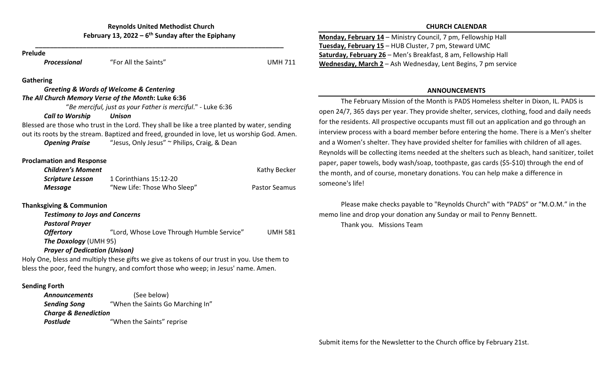# **Reynolds United Methodist Church February 13, <sup>2022</sup> – <sup>6</sup>th Sunday after the Epiphany**

| Prelude<br>Processional               | "For All the Saints"                                                                         | <b>UMH 711</b>                                                                     |
|---------------------------------------|----------------------------------------------------------------------------------------------|------------------------------------------------------------------------------------|
|                                       |                                                                                              |                                                                                    |
| <b>Gathering</b>                      |                                                                                              |                                                                                    |
|                                       | <b>Greeting &amp; Words of Welcome &amp; Centering</b>                                       |                                                                                    |
|                                       | The All Church Memory Verse of the Month: Luke 6:36                                          |                                                                                    |
|                                       | "Be merciful, just as your Father is merciful." - Luke 6:36                                  |                                                                                    |
| <b>Call to Worship</b>                | <b>Unison</b>                                                                                |                                                                                    |
|                                       | Blessed are those who trust in the Lord. They shall be like a tree planted by water, sending |                                                                                    |
|                                       | out its roots by the stream. Baptized and freed, grounded in love, let us worship God. Amen. |                                                                                    |
| <b>Opening Praise</b>                 | "Jesus, Only Jesus" ~ Philips, Craig, & Dean                                                 |                                                                                    |
|                                       |                                                                                              |                                                                                    |
| <b>Proclamation and Response</b>      |                                                                                              |                                                                                    |
| <b>Children's Moment</b>              |                                                                                              | Kathy Becker                                                                       |
| <b>Scripture Lesson</b>               | 1 Corinthians 15:12-20                                                                       |                                                                                    |
| <b>Message</b>                        | "New Life: Those Who Sleep"                                                                  | <b>Pastor Seamus</b>                                                               |
| <b>Thanksgiving &amp; Communion</b>   |                                                                                              |                                                                                    |
| <b>Testimony to Joys and Concerns</b> |                                                                                              |                                                                                    |
| <b>Pastoral Prayer</b>                |                                                                                              |                                                                                    |
| <b>Offertory</b>                      | "Lord, Whose Love Through Humble Service"                                                    | <b>UMH 581</b>                                                                     |
| <b>The Doxology (UMH 95)</b>          |                                                                                              |                                                                                    |
| <b>Prayer of Dedication (Unison)</b>  |                                                                                              |                                                                                    |
|                                       | Holy One, bless and multiply these gifts we give as tokens of our trust in you. Use them to  |                                                                                    |
|                                       |                                                                                              | bless the poor, feed the hungry, and comfort those who weep; in Jesus' name. Amen. |

*Announcements* (See below) **Sending Song** "When the Saints Go Marching In" *Charge & Benediction Postlude*e **EXECUTE:** "When the Saints" reprise

#### **CHURCH CALENDAR**

**Monday, February 14** – Ministry Council, 7 pm, Fellowship Hall **Tuesday, February 15** – HUB Cluster, 7 pm, Steward UMC **Saturday, February 26** – Men's Breakfast, 8 am, Fellowship Hall **Wednesday, March 2** – Ash Wednesday, Lent Begins, 7 pm service

## **ANNOUNCEMENTS**

The February Mission of the Month is PADS Homeless shelter in Dixon, IL. PADS is open 24/7, 365 days per year. They provide shelter, services, clothing, food and daily needs for the residents. All prospective occupants must fill out an application and go through an interview process with <sup>a</sup> board member before entering the home. There is <sup>a</sup> Men's shelter and <sup>a</sup> Women's shelter. They have provided shelter for families with children of all ages. Reynolds will be collecting items needed at the shelters such as bleach, hand sanitizer, toilet paper, paper towels, body wash/soap, toothpaste, gas cards (\$5‐\$10) through the end of the month, and of course, monetary donations. You can help make <sup>a</sup> difference in someone's life!

Please make checks payable to "Reynolds Church" with "PADS" or "M.O.M." in the memo line and drop your donation any Sunday or mail to Penny Bennett.

Thank you. Missions Team

Submit items for the Newsletter to the Church office by February 21st.